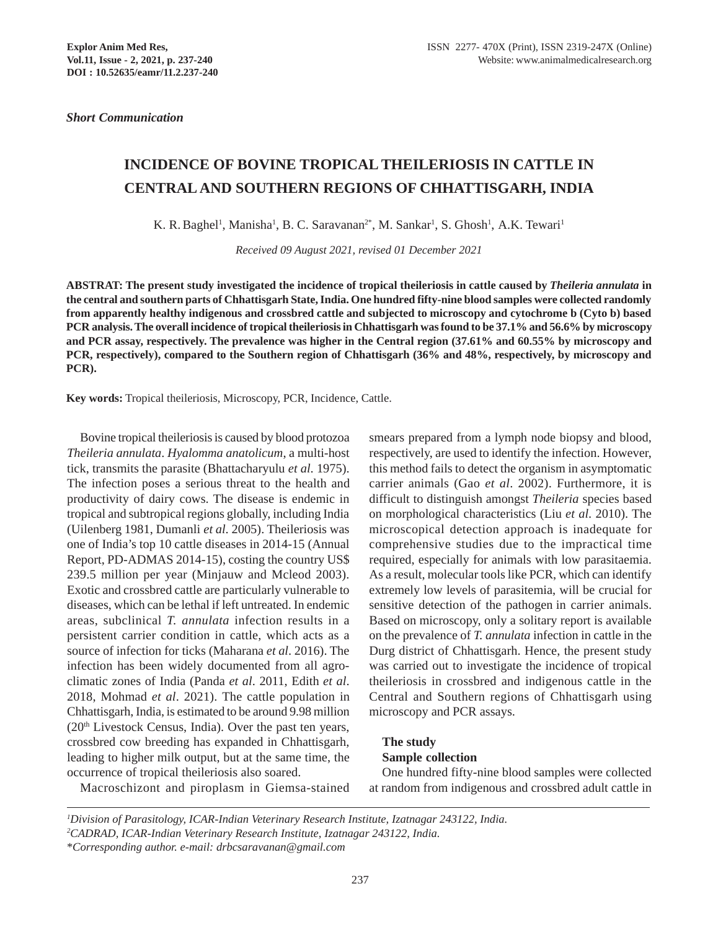*Short Communication*

# **INCIDENCE OF BOVINE TROPICAL THEILERIOSIS IN CATTLE IN CENTRAL AND SOUTHERN REGIONS OF CHHATTISGARH, INDIA**

K. R. Baghel<sup>1</sup>, Manisha<sup>1</sup>, B. C. Saravanan<sup>2\*</sup>, M. Sankar<sup>1</sup>, S. Ghosh<sup>1</sup>, A.K. Tewari<sup>1</sup>

*Received 09 August 2021, revised 01 December 2021*

**ABSTRAT: The present study investigated the incidence of tropical theileriosis in cattle caused by** *Theileria annulata* **in the central and southern parts of Chhattisgarh State, India. One hundred fifty-nine blood samples were collected randomly from apparently healthy indigenous and crossbred cattle and subjected to microscopy and cytochrome b (Cyto b) based PCR analysis. The overall incidence of tropical theileriosis in Chhattisgarh was found to be 37.1% and 56.6% by microscopy and PCR assay, respectively. The prevalence was higher in the Central region (37.61% and 60.55% by microscopy and PCR, respectively), compared to the Southern region of Chhattisgarh (36% and 48%, respectively, by microscopy and PCR).**

**Key words:** Tropical theileriosis, Microscopy, PCR, Incidence, Cattle.

Bovine tropical theileriosis is caused by blood protozoa *Theileria annulata*. *Hyalomma anatolicum*, a multi-host tick, transmits the parasite (Bhattacharyulu *et al*. 1975). The infection poses a serious threat to the health and productivity of dairy cows. The disease is endemic in tropical and subtropical regions globally, including India (Uilenberg 1981, Dumanli *et al*. 2005). Theileriosis was one of India's top 10 cattle diseases in 2014-15 (Annual Report, PD-ADMAS 2014-15), costing the country US\$ 239.5 million per year (Minjauw and Mcleod 2003). Exotic and crossbred cattle are particularly vulnerable to diseases, which can be lethal if left untreated. In endemic areas, subclinical *T. annulata* infection results in a persistent carrier condition in cattle, which acts as a source of infection for ticks (Maharana *et al*. 2016). The infection has been widely documented from all agroclimatic zones of India (Panda *et al*. 2011, Edith *et al*. 2018, Mohmad *et al*. 2021). The cattle population in Chhattisgarh, India, is estimated to be around 9.98 million  $(20<sup>th</sup> Lives tock Census, India)$ . Over the past ten years, crossbred cow breeding has expanded in Chhattisgarh, leading to higher milk output, but at the same time, the occurrence of tropical theileriosis also soared.

smears prepared from a lymph node biopsy and blood, respectively, are used to identify the infection. However, this method fails to detect the organism in asymptomatic carrier animals (Gao *et al*. 2002). Furthermore, it is difficult to distinguish amongst *Theileria* species based on morphological characteristics (Liu *et al*. 2010). The microscopical detection approach is inadequate for comprehensive studies due to the impractical time required, especially for animals with low parasitaemia. As a result, molecular tools like PCR, which can identify extremely low levels of parasitemia, will be crucial for sensitive detection of the pathogen in carrier animals. Based on microscopy, only a solitary report is available on the prevalence of *T. annulata* infection in cattle in the Durg district of Chhattisgarh. Hence, the present study was carried out to investigate the incidence of tropical theileriosis in crossbred and indigenous cattle in the Central and Southern regions of Chhattisgarh using microscopy and PCR assays.

### **The study**

### **Sample collection**

One hundred fifty-nine blood samples were collected at random from indigenous and crossbred adult cattle in

Macroschizont and piroplasm in Giemsa-stained

*<sup>1</sup> Division of Parasitology, ICAR-Indian Veterinary Research Institute, Izatnagar 243122, India. 2 CADRAD, ICAR-Indian Veterinary Research Institute, Izatnagar 243122, India.* \**Corresponding author. e-mail: drbcsaravanan@gmail.com*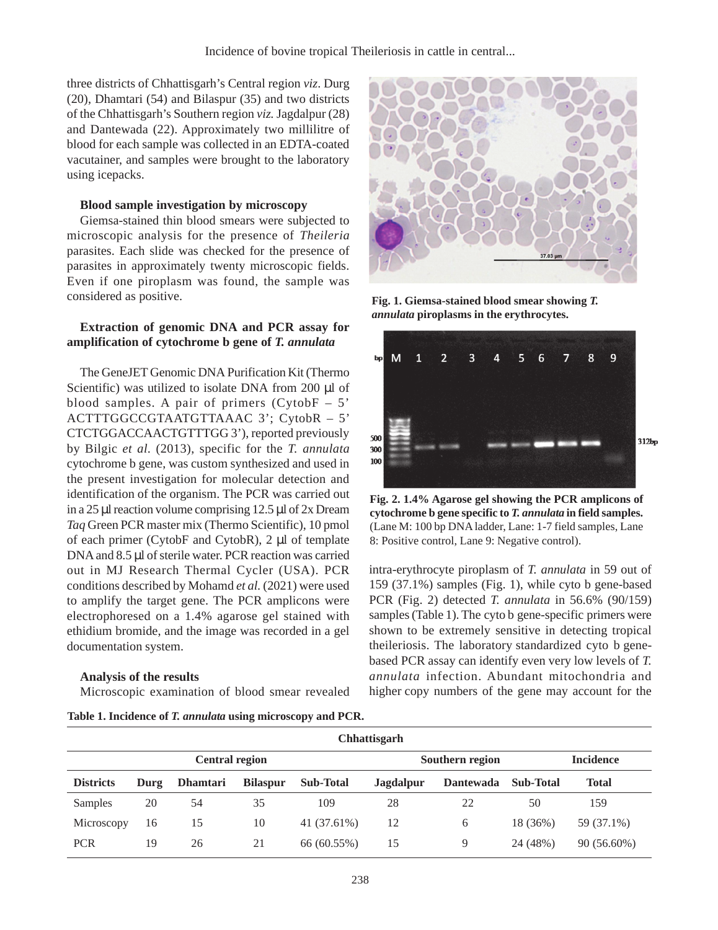three districts of Chhattisgarh's Central region *viz*. Durg (20), Dhamtari (54) and Bilaspur (35) and two districts of the Chhattisgarh's Southern region *viz.* Jagdalpur (28) and Dantewada (22). Approximately two millilitre of blood for each sample was collected in an EDTA-coated vacutainer, and samples were brought to the laboratory using icepacks.

## **Blood sample investigation by microscopy**

Giemsa-stained thin blood smears were subjected to microscopic analysis for the presence of *Theileria* parasites. Each slide was checked for the presence of parasites in approximately twenty microscopic fields. Even if one piroplasm was found, the sample was considered as positive.

# **Extraction of genomic DNA and PCR assay for amplification of cytochrome b gene of** *T. annulata*

The GeneJET Genomic DNA Purification Kit (Thermo Scientific) was utilized to isolate DNA from 200 µl of blood samples. A pair of primers  $(CytobF - 5)$ ACTTTGGCCGTAATGTTAAAC 3'; CytobR – 5' CTCTGGACCAACTGTTTGG 3'), reported previously by Bilgic *et al*. (2013), specific for the *T. annulata* cytochrome b gene, was custom synthesized and used in the present investigation for molecular detection and identification of the organism. The PCR was carried out in a 25 µl reaction volume comprising 12.5 µl of 2x Dream *Taq* Green PCR master mix (Thermo Scientific), 10 pmol of each primer (CytobF and CytobR), 2 µl of template DNA and 8.5 µl of sterile water. PCR reaction was carried out in MJ Research Thermal Cycler (USA). PCR conditions described by Mohamd *et al.* (2021) were used to amplify the target gene. The PCR amplicons were electrophoresed on a 1.4% agarose gel stained with ethidium bromide, and the image was recorded in a gel documentation system.

## **Analysis of the results**

Microscopic examination of blood smear revealed

**Table 1. Incidence of** *T. annulata* **using microscopy and PCR.**



**Fig. 1. Giemsa-stained blood smear showing** *T. annulata* **piroplasms in the erythrocytes.**



**Fig. 2. 1.4% Agarose gel showing the PCR amplicons of cytochrome b gene specific to** *T. annulata* **in field samples.** (Lane M: 100 bp DNA ladder, Lane: 1-7 field samples, Lane 8: Positive control, Lane 9: Negative control).

intra-erythrocyte piroplasm of *T. annulata* in 59 out of 159 (37.1%) samples (Fig. 1), while cyto b gene-based PCR (Fig. 2) detected *T. annulata* in 56.6% (90/159) samples (Table 1). The cyto b gene-specific primers were shown to be extremely sensitive in detecting tropical theileriosis. The laboratory standardized cyto b genebased PCR assay can identify even very low levels of *T. annulata* infection. Abundant mitochondria and higher copy numbers of the gene may account for the

|                  | Chhattisgarh          |                 |                 |                  |                 |                  |                  |                  |  |
|------------------|-----------------------|-----------------|-----------------|------------------|-----------------|------------------|------------------|------------------|--|
|                  | <b>Central region</b> |                 |                 |                  | Southern region |                  |                  | <b>Incidence</b> |  |
| <b>Districts</b> | Durg                  | <b>Dhamtari</b> | <b>Bilaspur</b> | <b>Sub-Total</b> | Jagdalpur       | <b>Dantewada</b> | <b>Sub-Total</b> | Total            |  |
| Samples          | 20                    | 54              | 35              | 109              | 28              | 22               | 50               | 159              |  |
| Microscopy       | 16                    | 15              | 10              | 41 (37.61%)      | 12              | 6                | 18 (36%)         | 59 (37.1%)       |  |
| <b>PCR</b>       | 19                    | 26              | 21              | 66 (60.55%)      | 15              | 9                | 24 (48%)         | 90 (56.60%)      |  |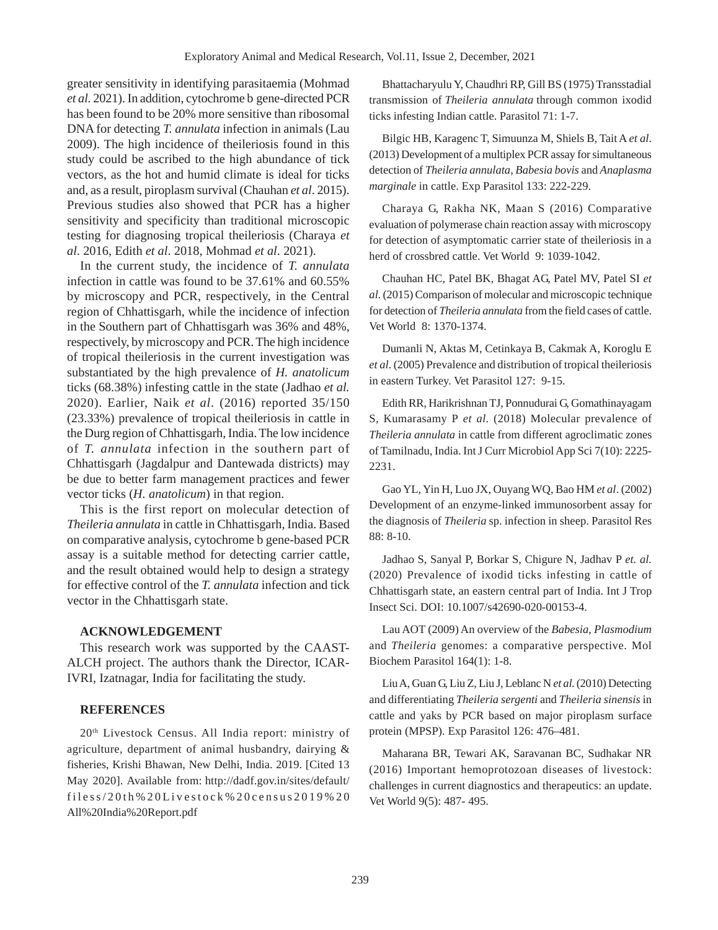greater sensitivity in identifying parasitaemia (Mohmad *et al.* 2021). In addition, cytochrome b gene-directed PCR has been found to be 20% more sensitive than ribosomal DNA for detecting *T. annulata* infection in animals (Lau 2009). The high incidence of theileriosis found in this study could be ascribed to the high abundance of tick vectors, as the hot and humid climate is ideal for ticks and, as a result, piroplasm survival (Chauhan *et al*. 2015). Previous studies also showed that PCR has a higher sensitivity and specificity than traditional microscopic testing for diagnosing tropical theileriosis (Charaya *et al*. 2016, Edith *et al*. 2018, Mohmad *et al*. 2021).

In the current study, the incidence of *T. annulata* infection in cattle was found to be 37.61% and 60.55% by microscopy and PCR, respectively, in the Central region of Chhattisgarh, while the incidence of infection in the Southern part of Chhattisgarh was 36% and 48%, respectively, by microscopy and PCR. The high incidence of tropical theileriosis in the current investigation was substantiated by the high prevalence of *H. anatolicum* ticks (68.38%) infesting cattle in the state (Jadhao *et al.* 2020). Earlier, Naik *et al*. (2016) reported 35/150 (23.33%) prevalence of tropical theileriosis in cattle in the Durg region of Chhattisgarh, India. The low incidence of *T. annulata* infection in the southern part of Chhattisgarh (Jagdalpur and Dantewada districts) may be due to better farm management practices and fewer vector ticks (*H. anatolicum*) in that region.

This is the first report on molecular detection of *Theileria annulata* in cattle in Chhattisgarh, India. Based on comparative analysis, cytochrome b gene-based PCR assay is a suitable method for detecting carrier cattle, and the result obtained would help to design a strategy for effective control of the *T. annulata* infection and tick vector in the Chhattisgarh state.

#### **ACKNOWLEDGEMENT**

This research work was supported by the CAAST-ALCH project. The authors thank the Director, ICAR-IVRI, Izatnagar, India for facilitating the study.

### **REFERENCES**

20th Livestock Census. All India report: ministry of agriculture, department of animal husbandry, dairying & fisheries, Krishi Bhawan, New Delhi, India. 2019. [Cited 13 May 2020]. Available from: http://dadf.gov.in/sites/default/ filess/20th%20Livestock%20census2019%20 All%20India%20Report.pdf

Bhattacharyulu Y, Chaudhri RP, Gill BS (1975) Transstadial transmission of *Theileria annulata* through common ixodid ticks infesting Indian cattle. Parasitol 71: 1-7.

Bilgic HB, Karagenc T, Simuunza M, Shiels B, Tait A *et al*. (2013) Development of a multiplex PCR assay for simultaneous detection of *Theileria annulata*, *Babesia bovis* and *Anaplasma marginale* in cattle. Exp Parasitol 133: 222-229.

Charaya G, Rakha NK, Maan S (2016) Comparative evaluation of polymerase chain reaction assay with microscopy for detection of asymptomatic carrier state of theileriosis in a herd of crossbred cattle. Vet World 9: 1039-1042.

Chauhan HC, Patel BK, Bhagat AG, Patel MV, Patel SI *et al*. (2015) Comparison of molecular and microscopic technique for detection of *Theileria annulata* from the field cases of cattle. Vet World 8: 1370-1374.

Dumanli N, Aktas M, Cetinkaya B, Cakmak A, Koroglu E *et al*. (2005) Prevalence and distribution of tropical theileriosis in eastern Turkey. Vet Parasitol 127: 9-15.

Edith RR, Harikrishnan TJ, Ponnudurai G, Gomathinayagam S, Kumarasamy P *et al*. (2018) Molecular prevalence of *Theileria annulata* in cattle from different agroclimatic zones of Tamilnadu, India. Int J Curr Microbiol App Sci 7(10): 2225- 2231.

Gao YL, Yin H, Luo JX, Ouyang WQ, Bao HM *et al*. (2002) Development of an enzyme-linked immunosorbent assay for the diagnosis of *Theileria* sp. infection in sheep. Parasitol Res 88: 8-10.

Jadhao S, Sanyal P, Borkar S, Chigure N, Jadhav P *et. al.* (2020) Prevalence of ixodid ticks infesting in cattle of Chhattisgarh state, an eastern central part of India. Int J Trop Insect Sci. DOI: 10.1007/s42690-020-00153-4.

Lau AOT (2009) An overview of the *Babesia*, *Plasmodium* and *Theileria* genomes: a comparative perspective. Mol Biochem Parasitol 164(1): 1-8.

Liu A, Guan G, Liu Z, Liu J, Leblanc N *et al*. (2010) Detecting and differentiating *Theileria sergenti* and *Theileria sinensis* in cattle and yaks by PCR based on major piroplasm surface protein (MPSP). Exp Parasitol 126: 476–481.

Maharana BR, Tewari AK, Saravanan BC, Sudhakar NR (2016) Important hemoprotozoan diseases of livestock: challenges in current diagnostics and therapeutics: an update. Vet World 9(5): 487- 495.